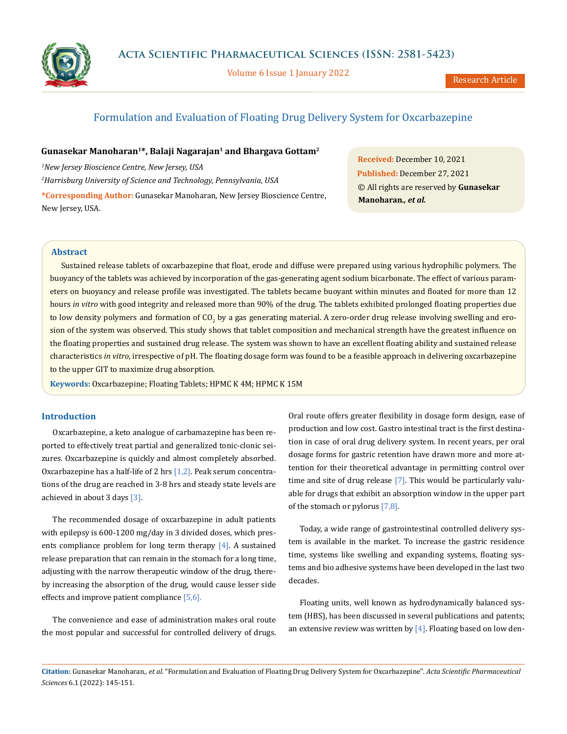

Volume 6 Issue 1 January 2022

# Formulation and Evaluation of Floating Drug Delivery System for Oxcarbazepine

# **Gunasekar Manoharan1\*, Balaji Nagarajan1 and Bhargava Gottam2**

*1 New Jersey Bioscience Centre, New Jersey, USA 2 Harrisburg University of Science and Technology, Pennsylvania, USA* **\*Corresponding Author:** Gunasekar Manoharan, New Jersey Bioscience Centre, New Jersey, USA.

**Received:** December 10, 2021 **Published:** December 27, 2021 © All rights are reserved by **Gunasekar Manoharan***., et al.*

## **Abstract**

Sustained release tablets of oxcarbazepine that float, erode and diffuse were prepared using various hydrophilic polymers. The buoyancy of the tablets was achieved by incorporation of the gas-generating agent sodium bicarbonate. The effect of various parameters on buoyancy and release profile was investigated. The tablets became buoyant within minutes and floated for more than 12 hours *in vitro* with good integrity and released more than 90% of the drug. The tablets exhibited prolonged floating properties due to low density polymers and formation of CO<sub>2</sub> by a gas generating material. A zero-order drug release involving swelling and erosion of the system was observed. This study shows that tablet composition and mechanical strength have the greatest influence on the floating properties and sustained drug release. The system was shown to have an excellent floating ability and sustained release characteristics *in vitro*, irrespective of pH. The floating dosage form was found to be a feasible approach in delivering oxcarbazepine to the upper GIT to maximize drug absorption.

**Keywords:** Oxcarbazepine; Floating Tablets; HPMC K 4M; HPMC K 15M

#### **Introduction**

Oxcarbazepine, a keto analogue of carbamazepine has been reported to effectively treat partial and generalized tonic-clonic seizures. Oxcarbazepine is quickly and almost completely absorbed. Oxcarbazepine has a half-life of 2 hrs [1,2]. Peak serum concentrations of the drug are reached in 3-8 hrs and steady state levels are achieved in about 3 days [3].

The recommended dosage of oxcarbazepine in adult patients with epilepsy is 600-1200 mg/day in 3 divided doses, which presents compliance problem for long term therapy [4]. A sustained release preparation that can remain in the stomach for a long time, adjusting with the narrow therapeutic window of the drug, thereby increasing the absorption of the drug, would cause lesser side effects and improve patient compliance [5,6].

The convenience and ease of administration makes oral route the most popular and successful for controlled delivery of drugs.

Oral route offers greater flexibility in dosage form design, ease of production and low cost. Gastro intestinal tract is the first destination in case of oral drug delivery system. In recent years, per oral dosage forms for gastric retention have drawn more and more attention for their theoretical advantage in permitting control over time and site of drug release [7]. This would be particularly valuable for drugs that exhibit an absorption window in the upper part of the stomach or pylorus [7,8].

Today, a wide range of gastrointestinal controlled delivery system is available in the market. To increase the gastric residence time, systems like swelling and expanding systems, floating systems and bio adhesive systems have been developed in the last two decades.

Floating units, well known as hydrodynamically balanced system (HBS), has been discussed in several publications and patents; an extensive review was written by  $[4]$ . Floating based on low den-

**Citation:** Gunasekar Manoharan*., et al.* "Formulation and Evaluation of Floating Drug Delivery System for Oxcarbazepine". *Acta Scientific Pharmaceutical Sciences* 6.1 (2022): 145-151.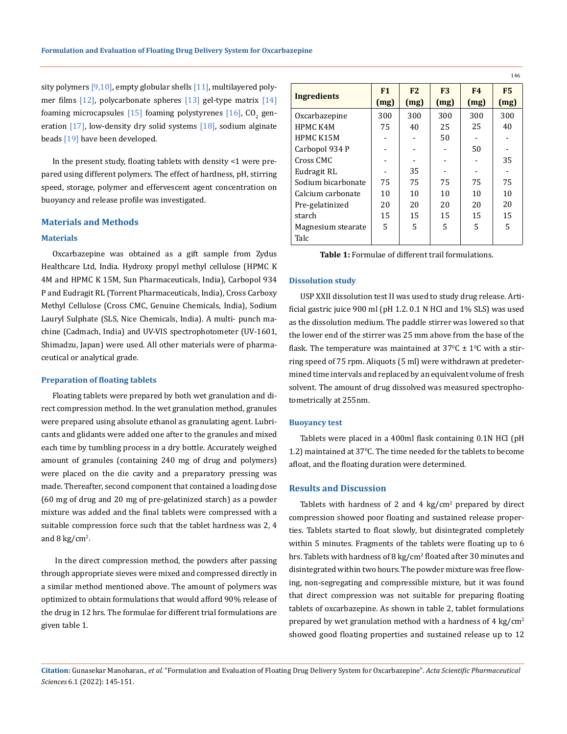sity polymers [9,10], empty globular shells [11], multilayered polymer films  $[12]$ , polycarbonate spheres  $[13]$  gel-type matrix  $[14]$ foaming microcapsules  $[15]$  foaming polystyrenes  $[16]$ , CO<sub>2</sub> generation  $[17]$ , low-density dry solid systems  $[18]$ , sodium alginate beads [19] have been developed.

In the present study, floating tablets with density <1 were prepared using different polymers. The effect of hardness, pH, stirring speed, storage, polymer and effervescent agent concentration on buoyancy and release profile was investigated.

#### **Materials and Methods**

#### **Materials**

Oxcarbazepine was obtained as a gift sample from Zydus Healthcare Ltd, India. Hydroxy propyl methyl cellulose (HPMC K 4M and HPMC K 15M, Sun Pharmaceuticals, India), Carbopol 934 P and Eudragit RL (Torrent Pharmaceuticals, India), Cross Carboxy Methyl Cellulose (Cross CMC, Genuine Chemicals, India), Sodium Lauryl Sulphate (SLS, Nice Chemicals, India). A multi- punch machine (Cadmach, India) and UV-VIS spectrophotometer (UV-1601, Shimadzu, Japan) were used. All other materials were of pharmaceutical or analytical grade.

#### **Preparation of floating tablets**

Floating tablets were prepared by both wet granulation and direct compression method. In the wet granulation method, granules were prepared using absolute ethanol as granulating agent. Lubricants and glidants were added one after to the granules and mixed each time by tumbling process in a dry bottle. Accurately weighed amount of granules (containing 240 mg of drug and polymers) were placed on the die cavity and a preparatory pressing was made. Thereafter, second component that contained a loading dose (60 mg of drug and 20 mg of pre-gelatinized starch) as a powder mixture was added and the final tablets were compressed with a suitable compression force such that the tablet hardness was 2, 4 and 8 kg/cm<sup>2</sup>.

 In the direct compression method, the powders after passing through appropriate sieves were mixed and compressed directly in a similar method mentioned above. The amount of polymers was optimized to obtain formulations that would afford 90% release of the drug in 12 hrs. The formulae for different trial formulations are given table 1.

|                    |      |      |                |                | 146            |
|--------------------|------|------|----------------|----------------|----------------|
| <b>Ingredients</b> | F1   | F2   | F <sub>3</sub> | F <sub>4</sub> | F <sub>5</sub> |
|                    | (mg) | (mg) | (mg)           | (mg)           | (mg)           |
| Oxcarbazepine      | 300  | 300  | 300            | 300            | 300            |
| <b>HPMC K4M</b>    | 75   | 40   | 25             | 25             | 40             |
| HPMC K15M          |      |      | 50             |                |                |
| Carbopol 934 P     |      |      |                | 50             |                |
| Cross CMC          |      |      |                |                | 35             |
| Eudragit RL        |      | 35   |                |                |                |
| Sodium bicarbonate | 75   | 75   | 75             | 75             | 75             |
| Calcium carbonate  | 10   | 10   | 10             | 10             | 10             |
| Pre-gelatinized    | 20   | 20   | 20             | 20             | 20             |
| starch             | 15   | 15   | 15             | 15             | 15             |
| Magnesium stearate | 5    | 5    | 5              | 5              | 5              |
| Talc               |      |      |                |                |                |

**Table 1:** Formulae of different trail formulations.

#### **Dissolution study**

USP XXII dissolution test II was used to study drug release. Artificial gastric juice 900 ml (pH 1.2. 0.1 N HCl and 1% SLS) was used as the dissolution medium. The paddle stirrer was lowered so that the lower end of the stirrer was 25 mm above from the base of the flask. The temperature was maintained at  $37^{\circ}$ C  $\pm$  1 $^{\circ}$ C with a stirring speed of 75 rpm. Aliquots (5 ml) were withdrawn at predetermined time intervals and replaced by an equivalent volume of fresh solvent. The amount of drug dissolved was measured spectrophotometrically at 255nm.

#### **Buoyancy test**

Tablets were placed in a 400ml flask containing 0.1N HCl (pH 1.2) maintained at 370 C. The time needed for the tablets to become afloat, and the floating duration were determined.

## **Results and Discussion**

Tablets with hardness of 2 and 4  $\text{kg/cm}^2$  prepared by direct compression showed poor floating and sustained release properties. Tablets started to float slowly, but disintegrated completely within 5 minutes. Fragments of the tablets were floating up to 6 hrs. Tablets with hardness of 8 kg/cm² floated after 30 minutes and disintegrated within two hours. The powder mixture was free flowing, non-segregating and compressible mixture, but it was found that direct compression was not suitable for preparing floating tablets of oxcarbazepine. As shown in table 2, tablet formulations prepared by wet granulation method with a hardness of  $4 \text{ kg/cm}^2$ showed good floating properties and sustained release up to 12

**Citation:** Gunasekar Manoharan*., et al.* "Formulation and Evaluation of Floating Drug Delivery System for Oxcarbazepine". *Acta Scientific Pharmaceutical Sciences* 6.1 (2022): 145-151.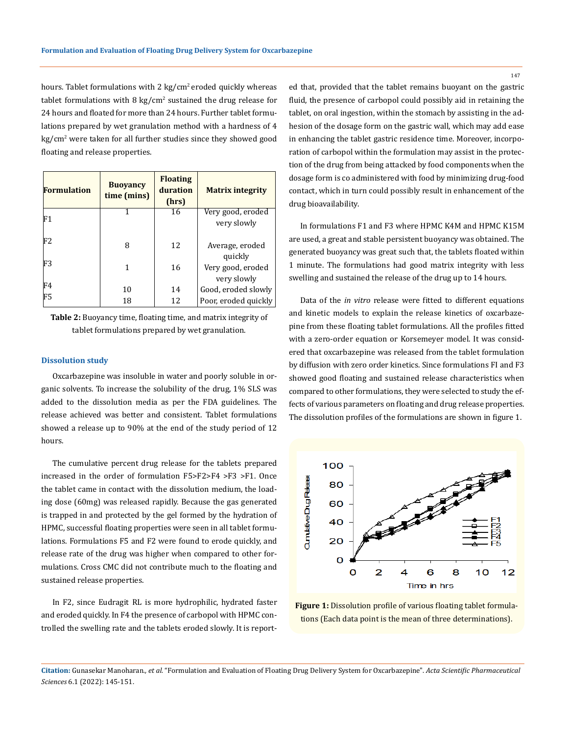hours. Tablet formulations with 2 kg/cm<sup>2</sup> eroded quickly whereas tablet formulations with 8 kg/ $cm<sup>2</sup>$  sustained the drug release for 24 hours and floated for more than 24 hours. Further tablet formulations prepared by wet granulation method with a hardness of 4 kg/cm<sup>2</sup> were taken for all further studies since they showed good floating and release properties.

| <b>Formulation</b> | <b>Buoyancy</b><br>time (mins) | <b>Floating</b><br>duration<br>(hrs) | <b>Matrix integrity</b> |
|--------------------|--------------------------------|--------------------------------------|-------------------------|
| F1                 |                                | 16                                   | Very good, eroded       |
|                    |                                |                                      | very slowly             |
| F2                 |                                |                                      |                         |
|                    | 8                              | 12                                   | Average, eroded         |
| F3                 |                                |                                      | quickly                 |
|                    |                                | 16                                   | Very good, eroded       |
|                    |                                |                                      | very slowly             |
| F4                 | 10                             | 14                                   | Good, eroded slowly     |
| F5                 | 18                             | 12                                   | Poor, eroded quickly    |

**Table 2:** Buoyancy time, floating time, and matrix integrity of tablet formulations prepared by wet granulation.

#### **Dissolution study**

Oxcarbazepine was insoluble in water and poorly soluble in organic solvents. To increase the solubility of the drug, 1% SLS was added to the dissolution media as per the FDA guidelines. The release achieved was better and consistent. Tablet formulations showed a release up to 90% at the end of the study period of 12 hours.

The cumulative percent drug release for the tablets prepared increased in the order of formulation F5>F2>F4 >F3 >F1. Once the tablet came in contact with the dissolution medium, the loading dose (60mg) was released rapidly. Because the gas generated is trapped in and protected by the gel formed by the hydration of HPMC, successful floating properties were seen in all tablet formulations. Formulations F5 and F2 were found to erode quickly, and release rate of the drug was higher when compared to other formulations. Cross CMC did not contribute much to the floating and sustained release properties.

In F2, since Eudragit RL is more hydrophilic, hydrated faster and eroded quickly. In F4 the presence of carbopol with HPMC controlled the swelling rate and the tablets eroded slowly. It is reported that, provided that the tablet remains buoyant on the gastric fluid, the presence of carbopol could possibly aid in retaining the tablet, on oral ingestion, within the stomach by assisting in the adhesion of the dosage form on the gastric wall, which may add ease in enhancing the tablet gastric residence time. Moreover, incorporation of carbopol within the formulation may assist in the protection of the drug from being attacked by food components when the dosage form is co administered with food by minimizing drug-food contact, which in turn could possibly result in enhancement of the drug bioavailability.

In formulations F1 and F3 where HPMC K4M and HPMC K15M are used, a great and stable persistent buoyancy was obtained. The generated buoyancy was great such that, the tablets floated within 1 minute. The formulations had good matrix integrity with less swelling and sustained the release of the drug up to 14 hours.

Data of the *in vitro* release were fitted to different equations and kinetic models to explain the release kinetics of oxcarbazepine from these floating tablet formulations. All the profiles fitted with a zero-order equation or Korsemeyer model. It was considered that oxcarbazepine was released from the tablet formulation by diffusion with zero order kinetics. Since formulations FI and F3 showed good floating and sustained release characteristics when compared to other formulations, they were selected to study the effects of various parameters on floating and drug release properties. The dissolution profiles of the formulations are shown in figure 1.



**Figure 1:** Dissolution profile of various floating tablet formulations (Each data point is the mean of three determinations).

**Citation:** Gunasekar Manoharan*., et al.* "Formulation and Evaluation of Floating Drug Delivery System for Oxcarbazepine". *Acta Scientific Pharmaceutical Sciences* 6.1 (2022): 145-151.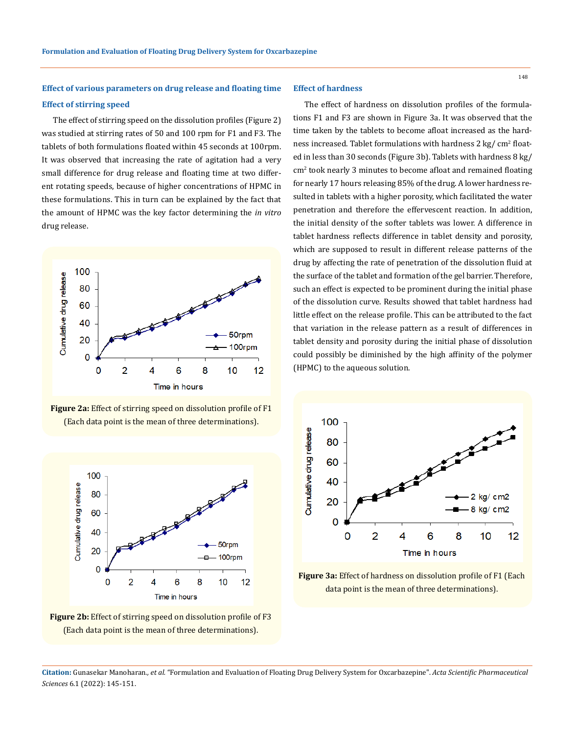# **Effect of various parameters on drug release and floating time Effect of stirring speed**

The effect of stirring speed on the dissolution profiles (Figure 2) was studied at stirring rates of 50 and 100 rpm for F1 and F3. The tablets of both formulations floated within 45 seconds at 100rpm. It was observed that increasing the rate of agitation had a very small difference for drug release and floating time at two different rotating speeds, because of higher concentrations of HPMC in these formulations. This in turn can be explained by the fact that the amount of HPMC was the key factor determining the *in vitro* drug release.



**Figure 2a:** Effect of stirring speed on dissolution profile of F1 (Each data point is the mean of three determinations).





### **Effect of hardness**

The effect of hardness on dissolution profiles of the formulations F1 and F3 are shown in Figure 3a. It was observed that the time taken by the tablets to become afloat increased as the hardness increased. Tablet formulations with hardness 2  $\text{kg}/\text{ cm}^2$  floated in less than 30 seconds (Figure 3b). Tablets with hardness 8 kg/ cm<sup>2</sup> took nearly 3 minutes to become afloat and remained floating for nearly 17 hours releasing 85% of the drug. A lower hardness resulted in tablets with a higher porosity, which facilitated the water penetration and therefore the effervescent reaction. In addition, the initial density of the softer tablets was lower. A difference in tablet hardness reflects difference in tablet density and porosity, which are supposed to result in different release patterns of the drug by affecting the rate of penetration of the dissolution fluid at the surface of the tablet and formation of the gel barrier. Therefore, such an effect is expected to be prominent during the initial phase of the dissolution curve. Results showed that tablet hardness had little effect on the release profile. This can be attributed to the fact that variation in the release pattern as a result of differences in tablet density and porosity during the initial phase of dissolution could possibly be diminished by the high affinity of the polymer (HPMC) to the aqueous solution.



**Figure 3a:** Effect of hardness on dissolution profile of F1 (Each data point is the mean of three determinations).

**Citation:** Gunasekar Manoharan*., et al.* "Formulation and Evaluation of Floating Drug Delivery System for Oxcarbazepine". *Acta Scientific Pharmaceutical Sciences* 6.1 (2022): 145-151.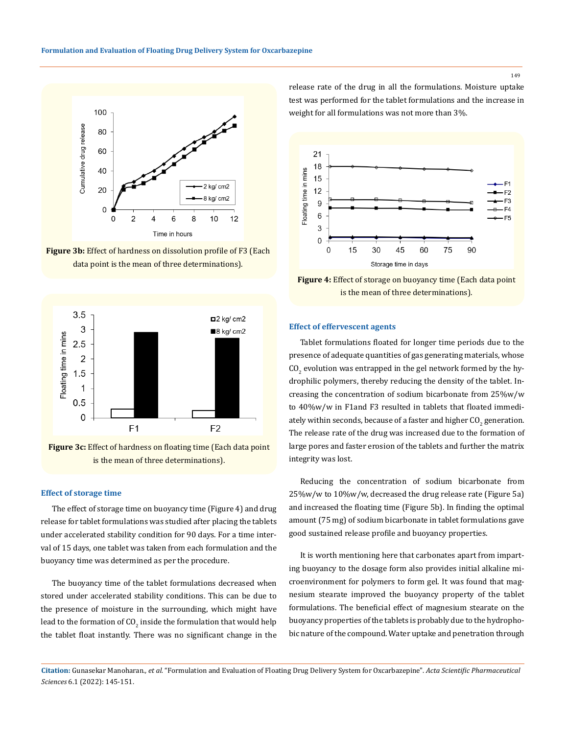

**Figure 3b:** Effect of hardness on dissolution profile of F3 (Each data point is the mean of three determinations).



is the mean of three determinations).

#### **Effect of storage time**

The effect of storage time on buoyancy time (Figure 4) and drug release for tablet formulations was studied after placing the tablets under accelerated stability condition for 90 days. For a time interval of 15 days, one tablet was taken from each formulation and the buoyancy time was determined as per the procedure.

The buoyancy time of the tablet formulations decreased when stored under accelerated stability conditions. This can be due to the presence of moisture in the surrounding, which might have lead to the formation of  $\mathsf{CO}_2$  inside the formulation that would help the tablet float instantly. There was no significant change in the

release rate of the drug in all the formulations. Moisture uptake test was performed for the tablet formulations and the increase in weight for all formulations was not more than 3%.



**Figure 4:** Effect of storage on buoyancy time (Each data point is the mean of three determinations).

#### **Effect of effervescent agents**

Tablet formulations floated for longer time periods due to the presence of adequate quantities of gas generating materials, whose  $\rm CO_{2}$  evolution was entrapped in the gel network formed by the hydrophilic polymers, thereby reducing the density of the tablet. Increasing the concentration of sodium bicarbonate from 25%w/w to 40%w/w in F1and F3 resulted in tablets that floated immediately within seconds, because of a faster and higher  $\rm CO_{2}$  generation. The release rate of the drug was increased due to the formation of large pores and faster erosion of the tablets and further the matrix integrity was lost.

Reducing the concentration of sodium bicarbonate from 25%w/w to 10%w/w, decreased the drug release rate (Figure 5a) and increased the floating time (Figure 5b). In finding the optimal amount (75 mg) of sodium bicarbonate in tablet formulations gave good sustained release profile and buoyancy properties.

It is worth mentioning here that carbonates apart from imparting buoyancy to the dosage form also provides initial alkaline microenvironment for polymers to form gel. It was found that magnesium stearate improved the buoyancy property of the tablet formulations. The beneficial effect of magnesium stearate on the buoyancy properties of the tablets is probably due to the hydrophobic nature of the compound. Water uptake and penetration through

**Citation:** Gunasekar Manoharan*., et al.* "Formulation and Evaluation of Floating Drug Delivery System for Oxcarbazepine". *Acta Scientific Pharmaceutical Sciences* 6.1 (2022): 145-151.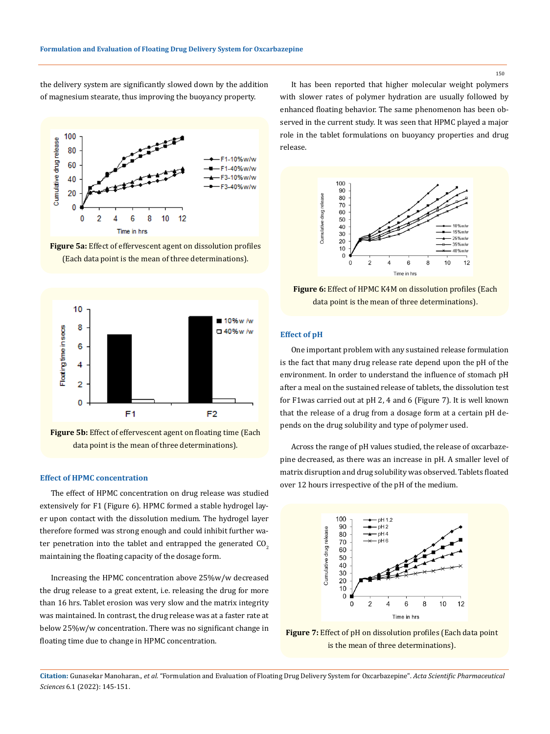the delivery system are significantly slowed down by the addition of magnesium stearate, thus improving the buoyancy property.









#### **Effect of HPMC concentration**

The effect of HPMC concentration on drug release was studied extensively for F1 (Figure 6). HPMC formed a stable hydrogel layer upon contact with the dissolution medium. The hydrogel layer therefore formed was strong enough and could inhibit further water penetration into the tablet and entrapped the generated  $CO<sub>2</sub>$ maintaining the floating capacity of the dosage form.

Increasing the HPMC concentration above 25%w/w decreased the drug release to a great extent, i.e. releasing the drug for more than 16 hrs. Tablet erosion was very slow and the matrix integrity was maintained. In contrast, the drug release was at a faster rate at below 25%w/w concentration. There was no significant change in floating time due to change in HPMC concentration.

It has been reported that higher molecular weight polymers with slower rates of polymer hydration are usually followed by enhanced floating behavior. The same phenomenon has been observed in the current study. It was seen that HPMC played a major role in the tablet formulations on buoyancy properties and drug release.



**Figure 6:** Effect of HPMC K4M on dissolution profiles (Each data point is the mean of three determinations).

# **Effect of pH**

One important problem with any sustained release formulation is the fact that many drug release rate depend upon the pH of the environment. In order to understand the influence of stomach pH after a meal on the sustained release of tablets, the dissolution test for F1was carried out at pH 2, 4 and 6 (Figure 7). It is well known that the release of a drug from a dosage form at a certain pH depends on the drug solubility and type of polymer used.

Across the range of pH values studied, the release of oxcarbazepine decreased, as there was an increase in pH. A smaller level of matrix disruption and drug solubility was observed. Tablets floated over 12 hours irrespective of the pH of the medium.



**Figure 7:** Effect of pH on dissolution profiles (Each data point is the mean of three determinations).

**Citation:** Gunasekar Manoharan*., et al.* "Formulation and Evaluation of Floating Drug Delivery System for Oxcarbazepine". *Acta Scientific Pharmaceutical Sciences* 6.1 (2022): 145-151.